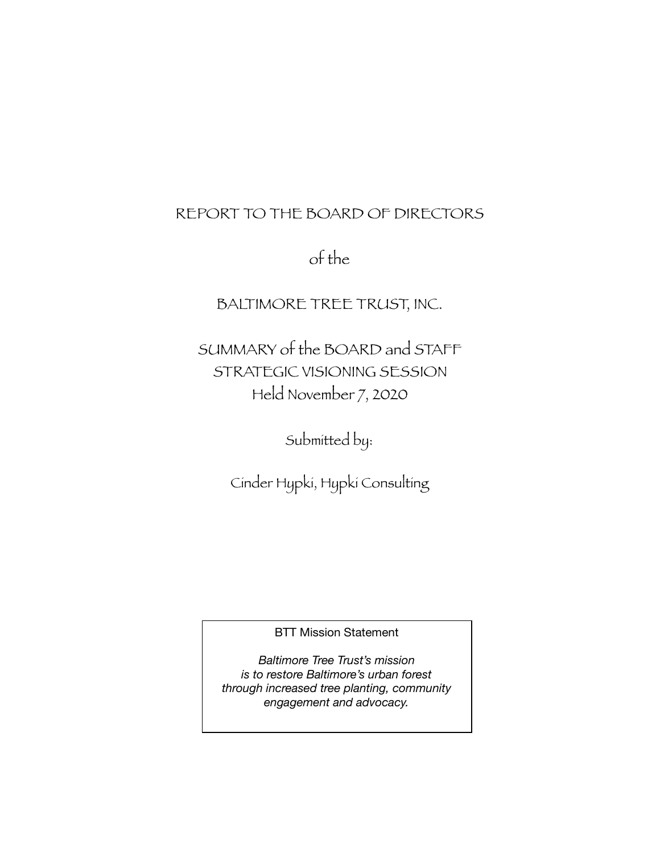# REPORT TO THE BOARD OF DIRECTORS

of the

BALTIMORE TREE TRUST, INC.

SUMMARY of the BOARD and STAFF STRATEGIC VISIONING SESSION Held November 7, 2020

Submitted by:

Cinder Hypki, Hypki Consulting

BTT Mission Statement

*Baltimore Tree Trust's mission is to restore Baltimore's urban forest through increased tree planting, community engagement and advocacy.*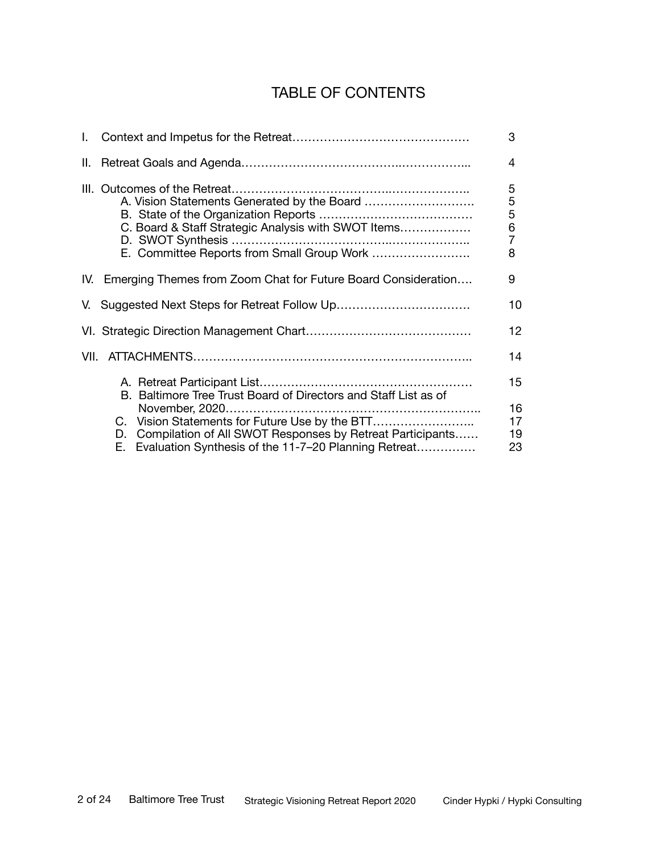# TABLE OF CONTENTS

|                                                                                                                                                                           | 3                                                                               |
|---------------------------------------------------------------------------------------------------------------------------------------------------------------------------|---------------------------------------------------------------------------------|
|                                                                                                                                                                           | 4                                                                               |
| C. Board & Staff Strategic Analysis with SWOT Items<br>E. Committee Reports from Small Group Work                                                                         | $\sqrt{5}$<br>$\begin{array}{c} 5 \\ 5 \\ 6 \end{array}$<br>$\overline{7}$<br>8 |
| IV. Emerging Themes from Zoom Chat for Future Board Consideration                                                                                                         | 9                                                                               |
| V. Suggested Next Steps for Retreat Follow Up                                                                                                                             | 10                                                                              |
|                                                                                                                                                                           | 12                                                                              |
|                                                                                                                                                                           | 14                                                                              |
| B. Baltimore Tree Trust Board of Directors and Staff List as of                                                                                                           | 15<br>16                                                                        |
| C. Vision Statements for Future Use by the BTT<br>D. Compilation of All SWOT Responses by Retreat Participants<br>E. Evaluation Synthesis of the 11-7-20 Planning Retreat | 17<br>19<br>23                                                                  |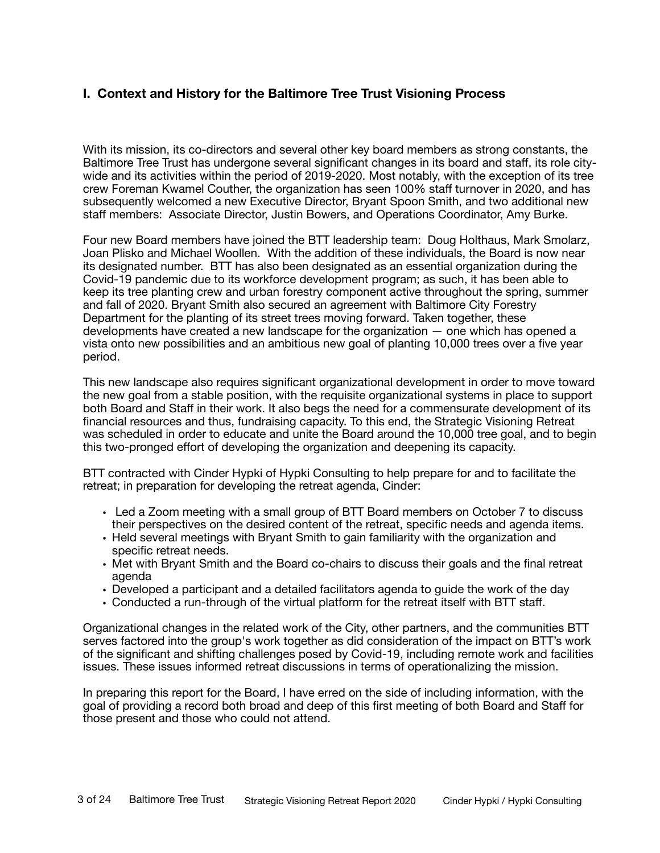## **I. Context and History for the Baltimore Tree Trust Visioning Process**

With its mission, its co-directors and several other key board members as strong constants, the Baltimore Tree Trust has undergone several significant changes in its board and staff, its role citywide and its activities within the period of 2019-2020. Most notably, with the exception of its tree crew Foreman Kwamel Couther, the organization has seen 100% staff turnover in 2020, and has subsequently welcomed a new Executive Director, Bryant Spoon Smith, and two additional new staff members: Associate Director, Justin Bowers, and Operations Coordinator, Amy Burke.

Four new Board members have joined the BTT leadership team: Doug Holthaus, Mark Smolarz, Joan Plisko and Michael Woollen. With the addition of these individuals, the Board is now near its designated number. BTT has also been designated as an essential organization during the Covid-19 pandemic due to its workforce development program; as such, it has been able to keep its tree planting crew and urban forestry component active throughout the spring, summer and fall of 2020. Bryant Smith also secured an agreement with Baltimore City Forestry Department for the planting of its street trees moving forward. Taken together, these developments have created a new landscape for the organization — one which has opened a vista onto new possibilities and an ambitious new goal of planting 10,000 trees over a five year period.

This new landscape also requires significant organizational development in order to move toward the new goal from a stable position, with the requisite organizational systems in place to support both Board and Staff in their work. It also begs the need for a commensurate development of its financial resources and thus, fundraising capacity. To this end, the Strategic Visioning Retreat was scheduled in order to educate and unite the Board around the 10,000 tree goal, and to begin this two-pronged effort of developing the organization and deepening its capacity.

BTT contracted with Cinder Hypki of Hypki Consulting to help prepare for and to facilitate the retreat; in preparation for developing the retreat agenda, Cinder:

- Led a Zoom meeting with a small group of BTT Board members on October 7 to discuss their perspectives on the desired content of the retreat, specific needs and agenda items.
- Held several meetings with Bryant Smith to gain familiarity with the organization and specific retreat needs.
- Met with Bryant Smith and the Board co-chairs to discuss their goals and the final retreat agenda
- Developed a participant and a detailed facilitators agenda to guide the work of the day
- Conducted a run-through of the virtual platform for the retreat itself with BTT staff.

Organizational changes in the related work of the City, other partners, and the communities BTT serves factored into the group's work together as did consideration of the impact on BTT's work of the significant and shifting challenges posed by Covid-19, including remote work and facilities issues. These issues informed retreat discussions in terms of operationalizing the mission.

In preparing this report for the Board, I have erred on the side of including information, with the goal of providing a record both broad and deep of this first meeting of both Board and Staff for those present and those who could not attend.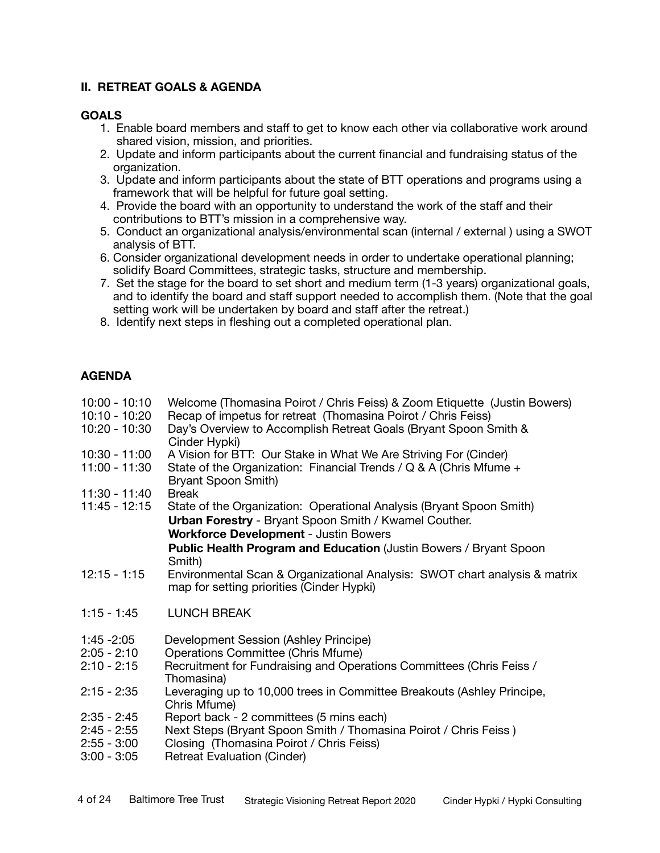#### **II. RETREAT GOALS & AGENDA**

#### **GOALS**

- 1. Enable board members and staff to get to know each other via collaborative work around shared vision, mission, and priorities.
- 2. Update and inform participants about the current financial and fundraising status of the organization.
- 3. Update and inform participants about the state of BTT operations and programs using a framework that will be helpful for future goal setting.
- 4. Provide the board with an opportunity to understand the work of the staff and their contributions to BTT's mission in a comprehensive way.
- 5. Conduct an organizational analysis/environmental scan (internal / external ) using a SWOT analysis of BTT.
- 6. Consider organizational development needs in order to undertake operational planning; solidify Board Committees, strategic tasks, structure and membership.
- 7. Set the stage for the board to set short and medium term (1-3 years) organizational goals, and to identify the board and staff support needed to accomplish them. (Note that the goal setting work will be undertaken by board and staff after the retreat.)
- 8. Identify next steps in fleshing out a completed operational plan.

#### **AGENDA**

| $10:00 - 10:10$ | Welcome (Thomasina Poirot / Chris Feiss) & Zoom Etiquette (Justin Bowers)                                               |  |  |  |
|-----------------|-------------------------------------------------------------------------------------------------------------------------|--|--|--|
| 10:10 - 10:20   | Recap of impetus for retreat (Thomasina Poirot / Chris Feiss)                                                           |  |  |  |
| 10:20 - 10:30   | Day's Overview to Accomplish Retreat Goals (Bryant Spoon Smith &<br>Cinder Hypki)                                       |  |  |  |
| $10:30 - 11:00$ | A Vision for BTT: Our Stake in What We Are Striving For (Cinder)                                                        |  |  |  |
| 11:00 - 11:30   | State of the Organization: Financial Trends / $Q & A$ (Chris Mfume +<br>Bryant Spoon Smith)                             |  |  |  |
| 11:30 - 11:40   | <b>Break</b>                                                                                                            |  |  |  |
| 11:45 - 12:15   | State of the Organization: Operational Analysis (Bryant Spoon Smith)                                                    |  |  |  |
|                 | <b>Urban Forestry</b> - Bryant Spoon Smith / Kwamel Couther.                                                            |  |  |  |
|                 | <b>Workforce Development - Justin Bowers</b>                                                                            |  |  |  |
|                 | <b>Public Health Program and Education (Justin Bowers / Bryant Spoon</b>                                                |  |  |  |
|                 | Smith)                                                                                                                  |  |  |  |
| $12:15 - 1:15$  | Environmental Scan & Organizational Analysis: SWOT chart analysis & matrix<br>map for setting priorities (Cinder Hypki) |  |  |  |
| $1:15 - 1:45$   | <b>LUNCH BREAK</b>                                                                                                      |  |  |  |
| $1:45 - 2:05$   | Development Session (Ashley Principe)                                                                                   |  |  |  |
| $2:05 - 2:10$   | Operations Committee (Chris Mfume)                                                                                      |  |  |  |
| $2:10 - 2:15$   | Recruitment for Fundraising and Operations Committees (Chris Feiss /<br>Thomasina)                                      |  |  |  |
| $2:15 - 2:35$   | Leveraging up to 10,000 trees in Committee Breakouts (Ashley Principe,<br>Chris Mfume)                                  |  |  |  |
| $2:35 - 2:45$   | Report back - 2 committees (5 mins each)                                                                                |  |  |  |
| $2:45 - 2:55$   | Next Steps (Bryant Spoon Smith / Thomasina Poirot / Chris Feiss)                                                        |  |  |  |
| $2:55 - 3:00$   | Closing (Thomasina Poirot / Chris Feiss)                                                                                |  |  |  |
| $3:00 - 3:05$   | <b>Retreat Evaluation (Cinder)</b>                                                                                      |  |  |  |
|                 |                                                                                                                         |  |  |  |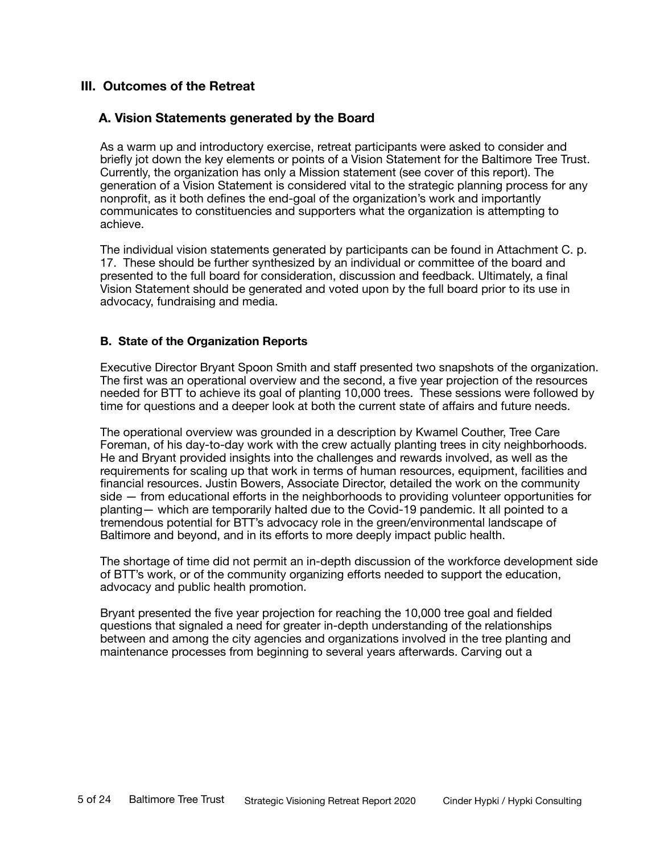#### **III. Outcomes of the Retreat**

#### **A. Vision Statements generated by the Board**

As a warm up and introductory exercise, retreat participants were asked to consider and briefly jot down the key elements or points of a Vision Statement for the Baltimore Tree Trust. Currently, the organization has only a Mission statement (see cover of this report). The generation of a Vision Statement is considered vital to the strategic planning process for any nonprofit, as it both defines the end-goal of the organization's work and importantly communicates to constituencies and supporters what the organization is attempting to achieve.

The individual vision statements generated by participants can be found in Attachment C. p. 17. These should be further synthesized by an individual or committee of the board and presented to the full board for consideration, discussion and feedback. Ultimately, a final Vision Statement should be generated and voted upon by the full board prior to its use in advocacy, fundraising and media.

#### **B. State of the Organization Reports**

Executive Director Bryant Spoon Smith and staff presented two snapshots of the organization. The first was an operational overview and the second, a five year projection of the resources needed for BTT to achieve its goal of planting 10,000 trees. These sessions were followed by time for questions and a deeper look at both the current state of affairs and future needs.

The operational overview was grounded in a description by Kwamel Couther, Tree Care Foreman, of his day-to-day work with the crew actually planting trees in city neighborhoods. He and Bryant provided insights into the challenges and rewards involved, as well as the requirements for scaling up that work in terms of human resources, equipment, facilities and financial resources. Justin Bowers, Associate Director, detailed the work on the community side — from educational efforts in the neighborhoods to providing volunteer opportunities for planting— which are temporarily halted due to the Covid-19 pandemic. It all pointed to a tremendous potential for BTT's advocacy role in the green/environmental landscape of Baltimore and beyond, and in its efforts to more deeply impact public health.

The shortage of time did not permit an in-depth discussion of the workforce development side of BTT's work, or of the community organizing efforts needed to support the education, advocacy and public health promotion.

Bryant presented the five year projection for reaching the 10,000 tree goal and fielded questions that signaled a need for greater in-depth understanding of the relationships between and among the city agencies and organizations involved in the tree planting and maintenance processes from beginning to several years afterwards. Carving out a